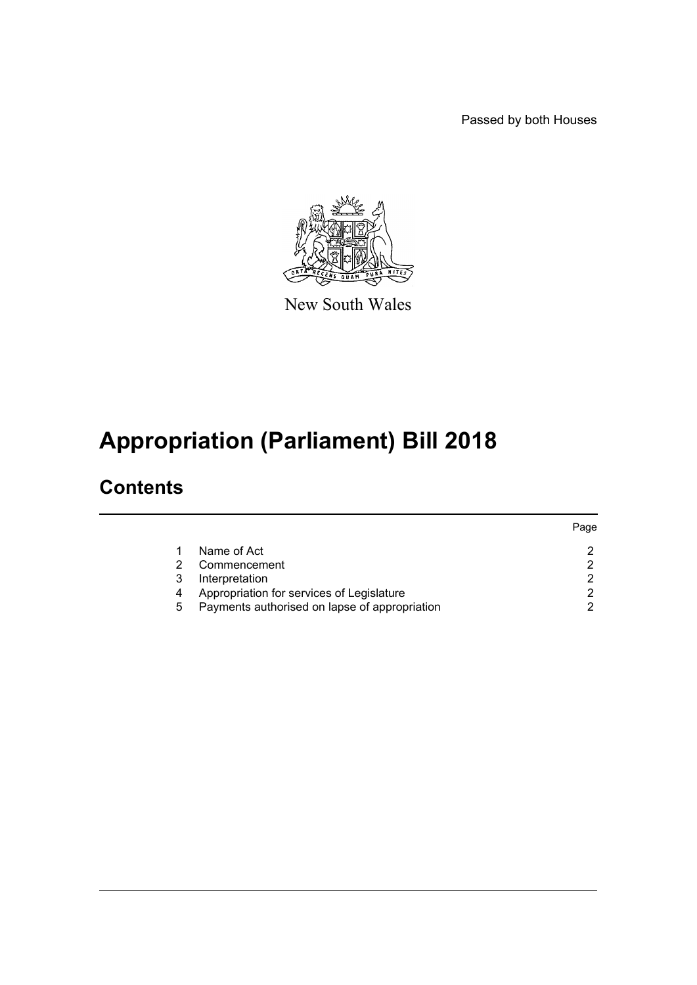Passed by both Houses



New South Wales

# **Appropriation (Parliament) Bill 2018**

### **Contents**

|   |                                               | Page |
|---|-----------------------------------------------|------|
|   | Name of Act                                   |      |
| 2 | Commencement                                  |      |
| 3 | Interpretation                                | ◠    |
| 4 | Appropriation for services of Legislature     |      |
| 5 | Payments authorised on lapse of appropriation |      |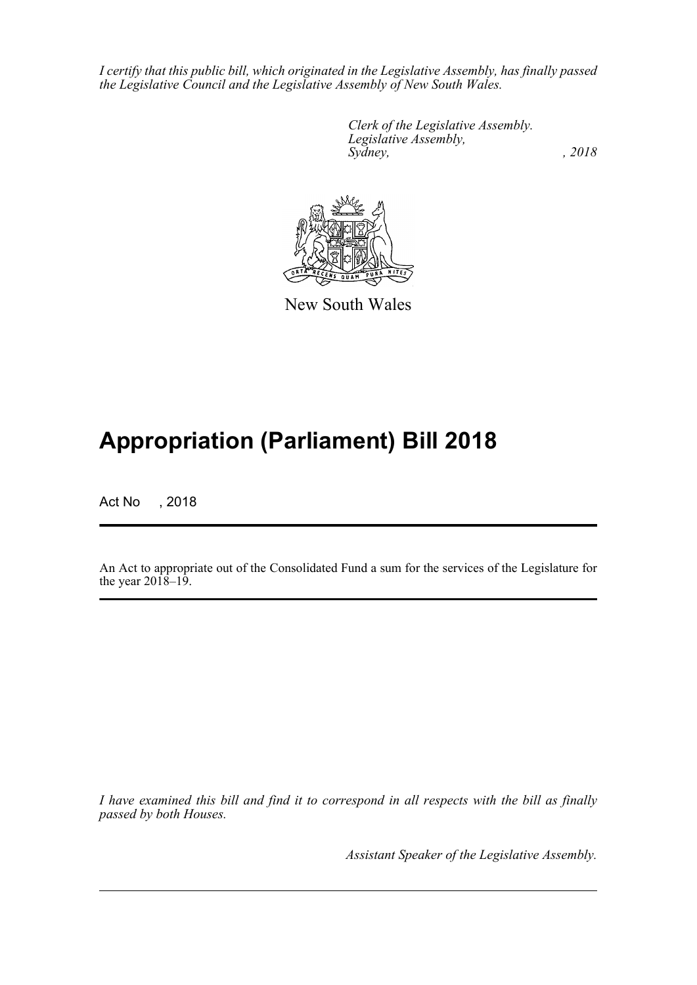*I certify that this public bill, which originated in the Legislative Assembly, has finally passed the Legislative Council and the Legislative Assembly of New South Wales.*

> *Clerk of the Legislative Assembly. Legislative Assembly, Sydney, , 2018*



New South Wales

## **Appropriation (Parliament) Bill 2018**

Act No , 2018

An Act to appropriate out of the Consolidated Fund a sum for the services of the Legislature for the year  $201\overline{8} - 19$ .

*I have examined this bill and find it to correspond in all respects with the bill as finally passed by both Houses.*

*Assistant Speaker of the Legislative Assembly.*